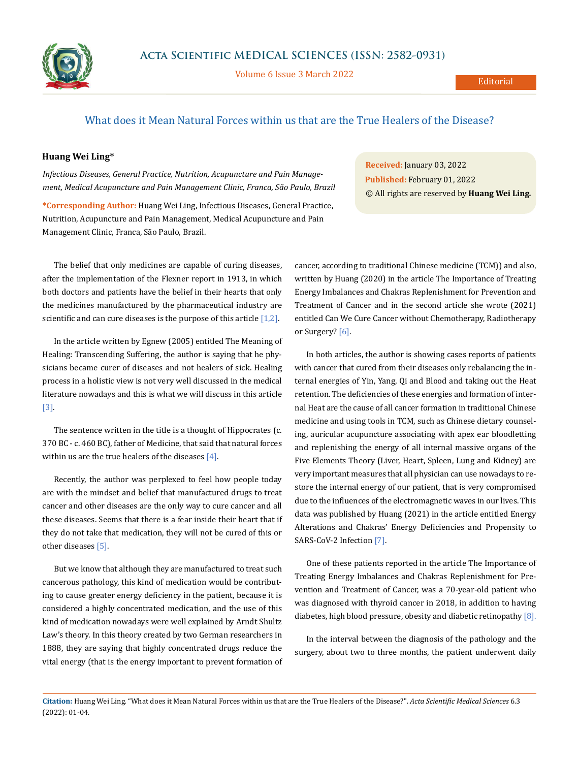

Volume 6 Issue 3 March 2022

## What does it Mean Natural Forces within us that are the True Healers of the Disease?

## **Huang Wei Ling\***

*Infectious Diseases, General Practice, Nutrition, Acupuncture and Pain Management, Medical Acupuncture and Pain Management Clinic, Franca, São Paulo, Brazil*

**\*Corresponding Author:** Huang Wei Ling, Infectious Diseases, General Practice, Nutrition, Acupuncture and Pain Management, Medical Acupuncture and Pain Management Clinic, Franca, São Paulo, Brazil.

The belief that only medicines are capable of curing diseases, after the implementation of the Flexner report in 1913, in which both doctors and patients have the belief in their hearts that only the medicines manufactured by the pharmaceutical industry are scientific and can cure diseases is the purpose of this article  $[1,2]$ .

In the article written by Egnew (2005) entitled The Meaning of Healing: Transcending Suffering, the author is saying that he physicians became curer of diseases and not healers of sick. Healing process in a holistic view is not very well discussed in the medical literature nowadays and this is what we will discuss in this article [3].

The sentence written in the title is a thought of Hippocrates (c. 370 BC - c. 460 BC), father of Medicine, that said that natural forces within us are the true healers of the diseases  $[4]$ .

Recently, the author was perplexed to feel how people today are with the mindset and belief that manufactured drugs to treat cancer and other diseases are the only way to cure cancer and all these diseases. Seems that there is a fear inside their heart that if they do not take that medication, they will not be cured of this or other diseases [5].

But we know that although they are manufactured to treat such cancerous pathology, this kind of medication would be contributing to cause greater energy deficiency in the patient, because it is considered a highly concentrated medication, and the use of this kind of medication nowadays were well explained by Arndt Shultz Law's theory. In this theory created by two German researchers in 1888, they are saying that highly concentrated drugs reduce the vital energy (that is the energy important to prevent formation of

**Received:** January 03, 2022 **Published:** February 01, 2022 © All rights are reserved by **Huang Wei Ling***.*

cancer, according to traditional Chinese medicine (TCM)) and also, written by Huang (2020) in the article The Importance of Treating Energy Imbalances and Chakras Replenishment for Prevention and Treatment of Cancer and in the second article she wrote (2021) entitled Can We Cure Cancer without Chemotherapy, Radiotherapy or Surgery? [6].

In both articles, the author is showing cases reports of patients with cancer that cured from their diseases only rebalancing the internal energies of Yin, Yang, Qi and Blood and taking out the Heat retention. The deficiencies of these energies and formation of internal Heat are the cause of all cancer formation in traditional Chinese medicine and using tools in TCM, such as Chinese dietary counseling, auricular acupuncture associating with apex ear bloodletting and replenishing the energy of all internal massive organs of the Five Elements Theory (Liver, Heart, Spleen, Lung and Kidney) are very important measures that all physician can use nowadays to restore the internal energy of our patient, that is very compromised due to the influences of the electromagnetic waves in our lives. This data was published by Huang (2021) in the article entitled Energy Alterations and Chakras' Energy Deficiencies and Propensity to SARS-CoV-2 Infection [7].

One of these patients reported in the article The Importance of Treating Energy Imbalances and Chakras Replenishment for Prevention and Treatment of Cancer, was a 70-year-old patient who was diagnosed with thyroid cancer in 2018, in addition to having diabetes, high blood pressure, obesity and diabetic retinopathy [8].

In the interval between the diagnosis of the pathology and the surgery, about two to three months, the patient underwent daily

**Citation:** Huang Wei Ling*.* "What does it Mean Natural Forces within us that are the True Healers of the Disease?". *Acta Scientific Medical Sciences* 6.3 (2022): 01-04.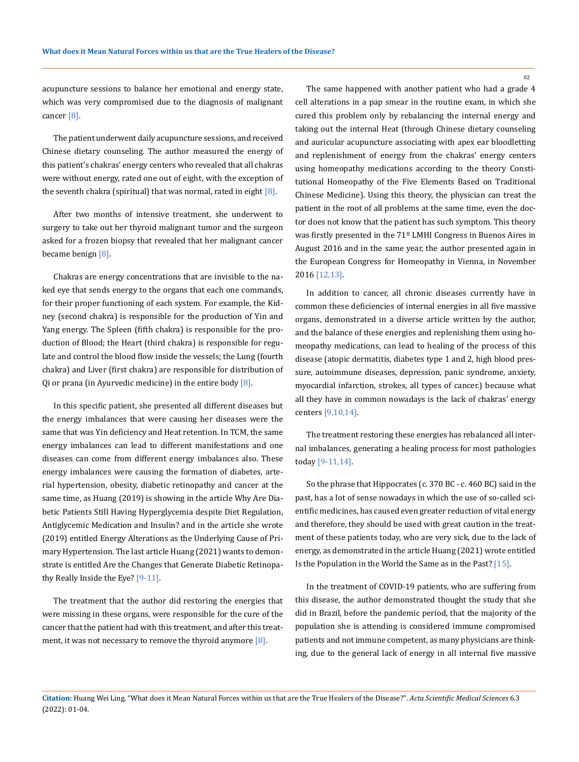acupuncture sessions to balance her emotional and energy state, which was very compromised due to the diagnosis of malignant cancer [8].

The patient underwent daily acupuncture sessions, and received Chinese dietary counseling. The author measured the energy of this patient's chakras' energy centers who revealed that all chakras were without energy, rated one out of eight, with the exception of the seventh chakra (spiritual) that was normal, rated in eight  $[8]$ .

After two months of intensive treatment, she underwent to surgery to take out her thyroid malignant tumor and the surgeon asked for a frozen biopsy that revealed that her malignant cancer became benign [8].

Chakras are energy concentrations that are invisible to the naked eye that sends energy to the organs that each one commands, for their proper functioning of each system. For example, the Kidney (second chakra) is responsible for the production of Yin and Yang energy. The Spleen (fifth chakra) is responsible for the production of Blood; the Heart (third chakra) is responsible for regulate and control the blood flow inside the vessels; the Lung (fourth chakra) and Liver (first chakra) are responsible for distribution of Qi or prana (in Ayurvedic medicine) in the entire body  $[8]$ .

In this specific patient, she presented all different diseases but the energy imbalances that were causing her diseases were the same that was Yin deficiency and Heat retention. In TCM, the same energy imbalances can lead to different manifestations and one diseases can come from different energy imbalances also. These energy imbalances were causing the formation of diabetes, arterial hypertension, obesity, diabetic retinopathy and cancer at the same time, as Huang (2019) is showing in the article Why Are Diabetic Patients Still Having Hyperglycemia despite Diet Regulation, Antiglycemic Medication and Insulin? and in the article she wrote (2019) entitled Energy Alterations as the Underlying Cause of Primary Hypertension. The last article Huang (2021) wants to demonstrate is entitled Are the Changes that Generate Diabetic Retinopathy Really Inside the Eye? [9-11].

The treatment that the author did restoring the energies that were missing in these organs, were responsible for the cure of the cancer that the patient had with this treatment, and after this treatment, it was not necessary to remove the thyroid anymore  $[8]$ .

The same happened with another patient who had a grade 4 cell alterations in a pap smear in the routine exam, in which she cured this problem only by rebalancing the internal energy and taking out the internal Heat (through Chinese dietary counseling and auricular acupuncture associating with apex ear bloodletting and replenishment of energy from the chakras' energy centers using homeopathy medications according to the theory Constitutional Homeopathy of the Five Elements Based on Traditional Chinese Medicine). Using this theory, the physician can treat the patient in the root of all problems at the same time, even the doctor does not know that the patient has such symptom. This theory was firstly presented in the 71º LMHI Congress in Buenos Aires in August 2016 and in the same year, the author presented again in the European Congress for Homeopathy in Vienna, in November 2016 [12,13].

In addition to cancer, all chronic diseases currently have in common these deficiencies of internal energies in all five massive organs, demonstrated in a diverse article written by the author, and the balance of these energies and replenishing them using homeopathy medications, can lead to healing of the process of this disease (atopic dermatitis, diabetes type 1 and 2, high blood pressure, autoimmune diseases, depression, panic syndrome, anxiety, myocardial infarction, strokes, all types of cancer.) because what all they have in common nowadays is the lack of chakras' energy centers [9,10,14].

The treatment restoring these energies has rebalanced all internal imbalances, generating a healing process for most pathologies today [9-11,14].

So the phrase that Hippocrates (c. 370 BC - c. 460 BC) said in the past, has a lot of sense nowadays in which the use of so-called scientific medicines, has caused even greater reduction of vital energy and therefore, they should be used with great caution in the treatment of these patients today, who are very sick, due to the lack of energy, as demonstrated in the article Huang (2021) wrote entitled Is the Population in the World the Same as in the Past? [15].

In the treatment of COVID-19 patients, who are suffering from this disease, the author demonstrated thought the study that she did in Brazil, before the pandemic period, that the majority of the population she is attending is considered immune compromised patients and not immune competent, as many physicians are thinking, due to the general lack of energy in all internal five massive

**Citation:** Huang Wei Ling*.* "What does it Mean Natural Forces within us that are the True Healers of the Disease?". *Acta Scientific Medical Sciences* 6.3 (2022): 01-04.

02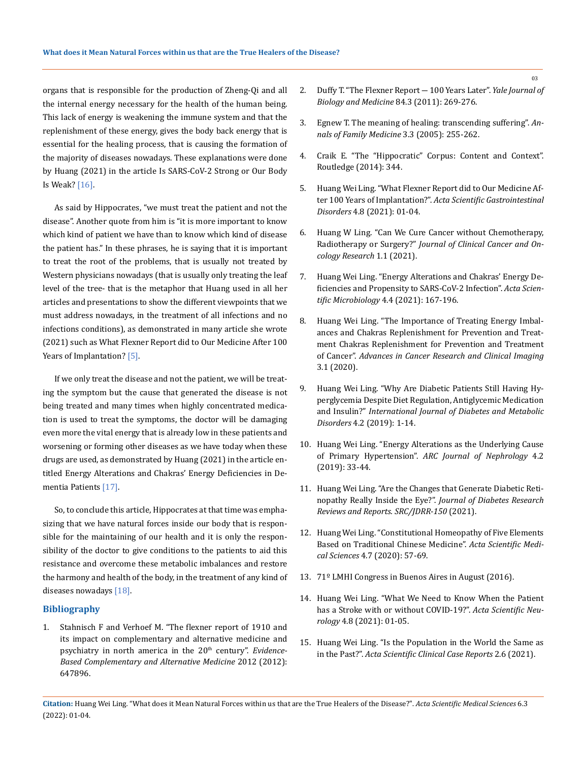organs that is responsible for the production of Zheng-Qi and all the internal energy necessary for the health of the human being. This lack of energy is weakening the immune system and that the replenishment of these energy, gives the body back energy that is essential for the healing process, that is causing the formation of the majority of diseases nowadays. These explanations were done by Huang (2021) in the article Is SARS-CoV-2 Strong or Our Body Is Weak? [16].

As said by Hippocrates, "we must treat the patient and not the disease". Another quote from him is "it is more important to know which kind of patient we have than to know which kind of disease the patient has." In these phrases, he is saying that it is important to treat the root of the problems, that is usually not treated by Western physicians nowadays (that is usually only treating the leaf level of the tree- that is the metaphor that Huang used in all her articles and presentations to show the different viewpoints that we must address nowadays, in the treatment of all infections and no infections conditions), as demonstrated in many article she wrote (2021) such as What Flexner Report did to Our Medicine After 100 Years of Implantation? [5].

If we only treat the disease and not the patient, we will be treating the symptom but the cause that generated the disease is not being treated and many times when highly concentrated medication is used to treat the symptoms, the doctor will be damaging even more the vital energy that is already low in these patients and worsening or forming other diseases as we have today when these drugs are used, as demonstrated by Huang (2021) in the article entitled Energy Alterations and Chakras' Energy Deficiencies in Dementia Patients [17].

So, to conclude this article, Hippocrates at that time was emphasizing that we have natural forces inside our body that is responsible for the maintaining of our health and it is only the responsibility of the doctor to give conditions to the patients to aid this resistance and overcome these metabolic imbalances and restore the harmony and health of the body, in the treatment of any kind of diseases nowadays [18].

## **Bibliography**

1. [Stahnisch F and Verhoef M. "The flexner report of 1910 and](https://pubmed.ncbi.nlm.nih.gov/23346209/)  [its impact on complementary and alternative medicine and](https://pubmed.ncbi.nlm.nih.gov/23346209/)  psychiatry in north america in the 20<sup>th</sup> century". *Evidence-[Based Complementary and Alternative Medicine](https://pubmed.ncbi.nlm.nih.gov/23346209/)* 2012 (2012): [647896.](https://pubmed.ncbi.nlm.nih.gov/23346209/)

- 2. [Duffy T. "The Flexner Report ― 100 Years Later".](https://www.ncbi.nlm.nih.gov/pmc/articles/PMC3178858/) *Yale Journal of [Biology and Medicine](https://www.ncbi.nlm.nih.gov/pmc/articles/PMC3178858/)* 84.3 (2011): 269-276.
- 3. [Egnew T. The meaning of healing: transcending suffering".](https://pubmed.ncbi.nlm.nih.gov/15928230/) *An[nals of Family Medicine](https://pubmed.ncbi.nlm.nih.gov/15928230/)* 3.3 (2005): 255-262.
- 4. [Craik E. "The "Hippocratic" Corpus: Content and Context".](https://www.routledge.com/The-Hippocratic-Corpus-Content-and-Context/Craik/p/book/9781138021716)  [Routledge \(2014\): 344.](https://www.routledge.com/The-Hippocratic-Corpus-Content-and-Context/Craik/p/book/9781138021716)
- 5. [Huang Wei Ling. "What Flexner Report did to Our Medicine Af](https://actascientific.com/ASGIS/pdf/ASGIS-04-0277.pdf)ter 100 Years of Implantation?". *[Acta Scientific Gastrointestinal](https://actascientific.com/ASGIS/pdf/ASGIS-04-0277.pdf)  Disorders* [4.8 \(2021\): 01-04.](https://actascientific.com/ASGIS/pdf/ASGIS-04-0277.pdf)
- 6. Huang W Ling. "Can We Cure Cancer without Chemotherapy, Radiotherapy or Surgery?" *Journal of Clinical Cancer and Oncology Research* 1.1 (2021).
- 7. [Huang Wei Ling. "Energy Alterations and Chakras' Energy De](https://actascientific.com/ASMI/pdf/ASMI-04-0822.pdf)[ficiencies and Propensity to SARS-CoV-2 Infection".](https://actascientific.com/ASMI/pdf/ASMI-04-0822.pdf) *Acta Scien[tific Microbiology](https://actascientific.com/ASMI/pdf/ASMI-04-0822.pdf)* 4.4 (2021): 167-196.
- 8. [Huang Wei Ling. "The Importance of Treating Energy Imbal](https://irispublishers.com/acrci/pdf/ACRCI.MS.ID.000551.pdf)[ances and Chakras Replenishment for Prevention and Treat](https://irispublishers.com/acrci/pdf/ACRCI.MS.ID.000551.pdf)[ment Chakras Replenishment for Prevention and Treatment](https://irispublishers.com/acrci/pdf/ACRCI.MS.ID.000551.pdf)  of Cancer". *[Advances in Cancer Research and Clinical Imaging](https://irispublishers.com/acrci/pdf/ACRCI.MS.ID.000551.pdf)* [3.1 \(2020\).](https://irispublishers.com/acrci/pdf/ACRCI.MS.ID.000551.pdf)
- 9. [Huang Wei Ling. "Why Are Diabetic Patients Still Having Hy](https://www.omicsonline.org/proceedings/why-are-diabetic-patients-still-having-hyperglycemia-despite-diet-regulation-antiglycemic-medication-and-insulin-105440.html)[perglycemia Despite Diet Regulation, Antiglycemic Medication](https://www.omicsonline.org/proceedings/why-are-diabetic-patients-still-having-hyperglycemia-despite-diet-regulation-antiglycemic-medication-and-insulin-105440.html)  and Insulin?" *[International Journal of Diabetes and Metabolic](https://www.omicsonline.org/proceedings/why-are-diabetic-patients-still-having-hyperglycemia-despite-diet-regulation-antiglycemic-medication-and-insulin-105440.html)  Disorders* [4.2 \(2019\): 1-14.](https://www.omicsonline.org/proceedings/why-are-diabetic-patients-still-having-hyperglycemia-despite-diet-regulation-antiglycemic-medication-and-insulin-105440.html)
- 10. [Huang Wei Ling. "Energy Alterations as the Underlying Cause](https://www.arcjournals.org/pdfs/ajn/v4-i2/4.pdf)  of Primary Hypertension". *[ARC Journal of Nephrology](https://www.arcjournals.org/pdfs/ajn/v4-i2/4.pdf)* 4.2 [\(2019\): 33-44.](https://www.arcjournals.org/pdfs/ajn/v4-i2/4.pdf)
- 11. Huang Wei Ling. "Are the Changes that Generate Diabetic Retinopathy Really Inside the Eye?". *Journal of Diabetes Research Reviews and Reports. SRC/JDRR-150* (2021).
- 12. [Huang Wei Ling. "Constitutional Homeopathy of Five Elements](https://www.actascientific.com/ASMS/pdf/ASMS-04-0680.pdf)  [Based on Traditional Chinese Medicine".](https://www.actascientific.com/ASMS/pdf/ASMS-04-0680.pdf) *Acta Scientific Medical Sciences* [4.7 \(2020\): 57-69.](https://www.actascientific.com/ASMS/pdf/ASMS-04-0680.pdf)
- 13. [71º LMHI Congress in Buenos Aires in August \(2016\).](http://homeopatia-rs.com.br/evento/71o-lmhi-congress-in-buenos-aires/)
- 14. [Huang Wei Ling. "What We Need to Know When the Patient](https://www.actascientific.com/ASNE/pdf/ASNE-04-0395.pdf)  [has a Stroke with or without COVID-19?".](https://www.actascientific.com/ASNE/pdf/ASNE-04-0395.pdf) *Acta Scientific Neurology* [4.8 \(2021\): 01-05.](https://www.actascientific.com/ASNE/pdf/ASNE-04-0395.pdf)
- 15. Huang Wei Ling. "Is the Population in the World the Same as in the Past?". *Acta Scientific Clinical Case Reports* 2.6 (2021).

03

**Citation:** Huang Wei Ling*.* "What does it Mean Natural Forces within us that are the True Healers of the Disease?". *Acta Scientific Medical Sciences* 6.3 (2022): 01-04.